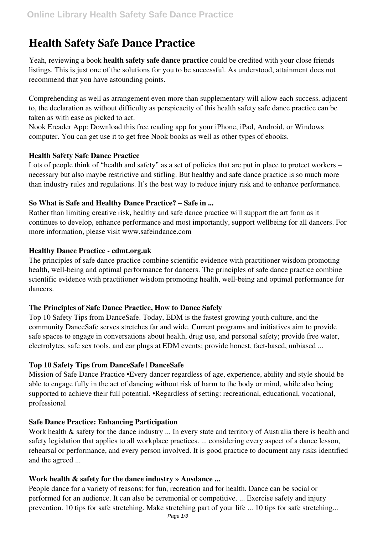# **Health Safety Safe Dance Practice**

Yeah, reviewing a book **health safety safe dance practice** could be credited with your close friends listings. This is just one of the solutions for you to be successful. As understood, attainment does not recommend that you have astounding points.

Comprehending as well as arrangement even more than supplementary will allow each success. adjacent to, the declaration as without difficulty as perspicacity of this health safety safe dance practice can be taken as with ease as picked to act.

Nook Ereader App: Download this free reading app for your iPhone, iPad, Android, or Windows computer. You can get use it to get free Nook books as well as other types of ebooks.

## **Health Safety Safe Dance Practice**

Lots of people think of "health and safety" as a set of policies that are put in place to protect workers – necessary but also maybe restrictive and stifling. But healthy and safe dance practice is so much more than industry rules and regulations. It's the best way to reduce injury risk and to enhance performance.

## **So What is Safe and Healthy Dance Practice? – Safe in ...**

Rather than limiting creative risk, healthy and safe dance practice will support the art form as it continues to develop, enhance performance and most importantly, support wellbeing for all dancers. For more information, please visit www.safeindance.com

#### **Healthy Dance Practice - cdmt.org.uk**

The principles of safe dance practice combine scientific evidence with practitioner wisdom promoting health, well-being and optimal performance for dancers. The principles of safe dance practice combine scientific evidence with practitioner wisdom promoting health, well-being and optimal performance for dancers.

## **The Principles of Safe Dance Practice, How to Dance Safely**

Top 10 Safety Tips from DanceSafe. Today, EDM is the fastest growing youth culture, and the community DanceSafe serves stretches far and wide. Current programs and initiatives aim to provide safe spaces to engage in conversations about health, drug use, and personal safety; provide free water, electrolytes, safe sex tools, and ear plugs at EDM events; provide honest, fact-based, unbiased ...

## **Top 10 Safety Tips from DanceSafe | DanceSafe**

Mission of Safe Dance Practice •Every dancer regardless of age, experience, ability and style should be able to engage fully in the act of dancing without risk of harm to the body or mind, while also being supported to achieve their full potential. •Regardless of setting: recreational, educational, vocational, professional

## **Safe Dance Practice: Enhancing Participation**

Work health & safety for the dance industry ... In every state and territory of Australia there is health and safety legislation that applies to all workplace practices. ... considering every aspect of a dance lesson, rehearsal or performance, and every person involved. It is good practice to document any risks identified and the agreed ...

## **Work health & safety for the dance industry » Ausdance ...**

People dance for a variety of reasons: for fun, recreation and for health. Dance can be social or performed for an audience. It can also be ceremonial or competitive. ... Exercise safety and injury prevention. 10 tips for safe stretching. Make stretching part of your life ... 10 tips for safe stretching...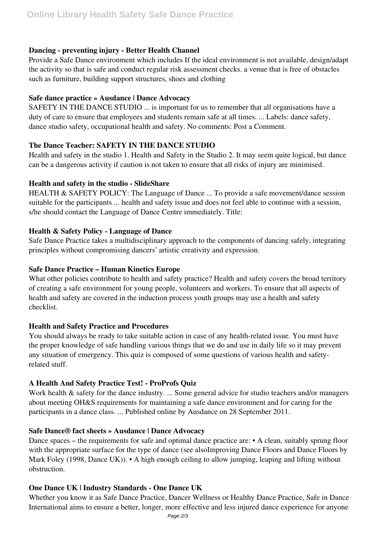## **Dancing - preventing injury - Better Health Channel**

Provide a Safe Dance environment which includes If the ideal environment is not available, design/adapt the activity so that is safe and conduct regular risk assessment checks. a venue that is free of obstacles such as furniture, building support structures, shoes and clothing

## **Safe dance practice » Ausdance | Dance Advocacy**

SAFETY IN THE DANCE STUDIO ... is important for us to remember that all organisations have a duty of care to ensure that employees and students remain safe at all times. ... Labels: dance safety, dance studio safety, occupational health and safety. No comments: Post a Comment.

# **The Dance Teacher: SAFETY IN THE DANCE STUDIO**

Health and safety in the studio 1. Health and Safety in the Studio 2. It may seem quite logical, but dance can be a dangerous activity if caution is not taken to ensure that all risks of injury are minimised.

## **Health and safety in the studio - SlideShare**

HEALTH & SAFETY POLICY: The Language of Dance ... To provide a safe movement/dance session suitable for the participants ... health and safety issue and does not feel able to continue with a session, s/he should contact the Language of Dance Centre immediately. Title:

## **Health & Safety Policy - Language of Dance**

Safe Dance Practice takes a multidisciplinary approach to the components of dancing safely, integrating principles without compromising dancers' artistic creativity and expression.

## **Safe Dance Practice – Human Kinetics Europe**

What other policies contribute to health and safety practice? Health and safety covers the broad territory of creating a safe environment for young people, volunteers and workers. To ensure that all aspects of health and safety are covered in the induction process youth groups may use a health and safety checklist.

# **Health and Safety Practice and Procedures**

You should always be ready to take suitable action in case of any health-related issue. You must have the proper knowledge of safe handling various things that we do and use in daily life so it may prevent any situation of emergency. This quiz is composed of some questions of various health and safetyrelated stuff.

# **A Health And Safety Practice Test! - ProProfs Quiz**

Work health & safety for the dance industry. ... Some general advice for studio teachers and/or managers about meeting OH&S requirements for maintaining a safe dance environment and for caring for the participants in a dance class. ... Published online by Ausdance on 28 September 2011.

# **Safe Dance® fact sheets » Ausdance | Dance Advocacy**

Dance spaces – the requirements for safe and optimal dance practice are: • A clean, suitably sprung floor with the appropriate surface for the type of dance (see alsoImproving Dance Floors and Dance Floors by Mark Foley (1998, Dance UK)). • A high enough ceiling to allow jumping, leaping and lifting without obstruction.

# **One Dance UK | Industry Standards - One Dance UK**

Whether you know it as Safe Dance Practice, Dancer Wellness or Healthy Dance Practice, Safe in Dance International aims to ensure a better, longer, more effective and less injured dance experience for anyone